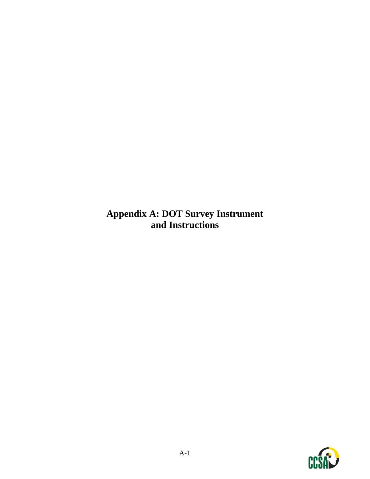**Appendix A: DOT Survey Instrument and Instructions**

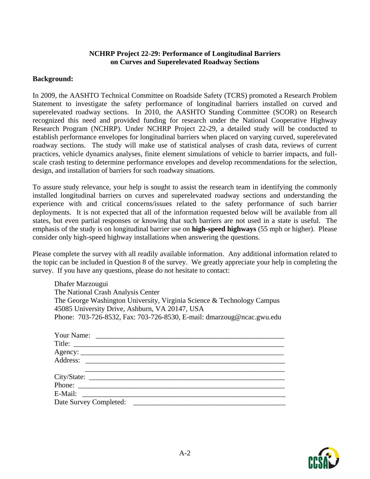## **NCHRP Project 22-29: Performance of Longitudinal Barriers on Curves and Superelevated Roadway Sections**

## **Background:**

In 2009, the AASHTO Technical Committee on Roadside Safety (TCRS) promoted a Research Problem Statement to investigate the safety performance of longitudinal barriers installed on curved and superelevated roadway sections. In 2010, the AASHTO Standing Committee (SCOR) on Research recognized this need and provided funding for research under the National Cooperative Highway Research Program (NCHRP). Under NCHRP Project 22-29, a detailed study will be conducted to establish performance envelopes for longitudinal barriers when placed on varying curved, superelevated roadway sections. The study will make use of statistical analyses of crash data, reviews of current practices, vehicle dynamics analyses, finite element simulations of vehicle to barrier impacts, and fullscale crash testing to determine performance envelopes and develop recommendations for the selection, design, and installation of barriers for such roadway situations.

To assure study relevance, your help is sought to assist the research team in identifying the commonly installed longitudinal barriers on curves and superelevated roadway sections and understanding the experience with and critical concerns/issues related to the safety performance of such barrier deployments. It is not expected that all of the information requested below will be available from all states, but even partial responses or knowing that such barriers are not used in a state is useful. The emphasis of the study is on longitudinal barrier use on **high-speed highways** (55 mph or higher). Please consider only high-speed highway installations when answering the questions.

Please complete the survey with all readily available information. Any additional information related to the topic can be included in Question 8 of the survey. We greatly appreciate your help in completing the survey. If you have any questions, please do not hesitate to contact:

| Dhafer Marzougui<br>The National Crash Analysis Center<br>The George Washington University, Virginia Science & Technology Campus<br>45085 University Drive, Ashburn, VA 20147, USA<br>Phone: 703-726-8532, Fax: 703-726-8530, E-mail: dmarzoug@ncac.gwu.edu |
|-------------------------------------------------------------------------------------------------------------------------------------------------------------------------------------------------------------------------------------------------------------|
|                                                                                                                                                                                                                                                             |
|                                                                                                                                                                                                                                                             |
|                                                                                                                                                                                                                                                             |
|                                                                                                                                                                                                                                                             |
|                                                                                                                                                                                                                                                             |
| Phone:                                                                                                                                                                                                                                                      |
|                                                                                                                                                                                                                                                             |
| Date Survey Completed:                                                                                                                                                                                                                                      |

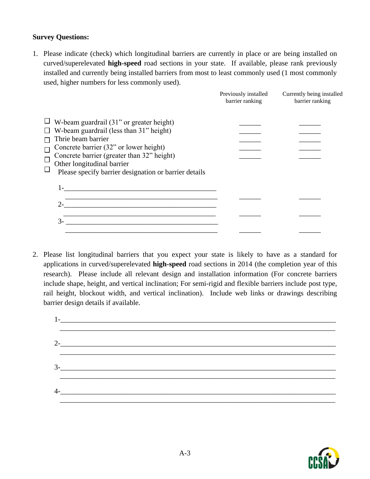## **Survey Questions:**

1. Please indicate (check) which longitudinal barriers are currently in place or are being installed on curved/superelevated **high-speed** road sections in your state. If available, please rank previously installed and currently being installed barriers from most to least commonly used (1 most commonly used, higher numbers for less commonly used).

|                                                                                                                                                                                                                                                                                                        | Previously installed<br>barrier ranking | Currently being installed<br>barrier ranking |
|--------------------------------------------------------------------------------------------------------------------------------------------------------------------------------------------------------------------------------------------------------------------------------------------------------|-----------------------------------------|----------------------------------------------|
| $\Box$ W-beam guardrail (31" or greater height)<br>$\Box$ W-beam guardrail (less than 31" height)<br>Thrie beam barrier<br>Concrete barrier (32" or lower height)<br>Concrete barrier (greater than 32" height)<br>Other longitudinal barrier<br>Please specify barrier designation or barrier details |                                         |                                              |
| $2-$                                                                                                                                                                                                                                                                                                   |                                         |                                              |
| $3-$                                                                                                                                                                                                                                                                                                   |                                         |                                              |

2. Please list longitudinal barriers that you expect your state is likely to have as a standard for applications in curved/superelevated **high-speed** road sections in 2014 (the completion year of this research). Please include all relevant design and installation information (For concrete barriers include shape, height, and vertical inclination; For semi-rigid and flexible barriers include post type, rail height, blockout width, and vertical inclination). Include web links or drawings describing barrier design details if available.



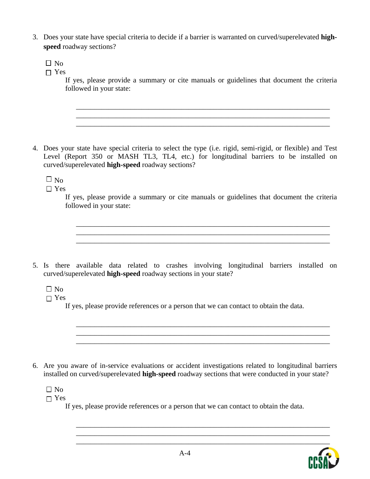3. Does your state have special criteria to decide if a barrier is warranted on curved/superelevated **highspeed** roadway sections?

 $\Box$  No

 $\Gamma$  Yes

If yes, please provide a summary or cite manuals or guidelines that document the criteria followed in your state:

\_\_\_\_\_\_\_\_\_\_\_\_\_\_\_\_\_\_\_\_\_\_\_\_\_\_\_\_\_\_\_\_\_\_\_\_\_\_\_\_\_\_\_\_\_\_\_\_\_\_\_\_\_\_\_\_\_\_\_\_\_\_\_\_\_\_\_\_\_\_ \_\_\_\_\_\_\_\_\_\_\_\_\_\_\_\_\_\_\_\_\_\_\_\_\_\_\_\_\_\_\_\_\_\_\_\_\_\_\_\_\_\_\_\_\_\_\_\_\_\_\_\_\_\_\_\_\_\_\_\_\_\_\_\_\_\_\_\_\_\_ \_\_\_\_\_\_\_\_\_\_\_\_\_\_\_\_\_\_\_\_\_\_\_\_\_\_\_\_\_\_\_\_\_\_\_\_\_\_\_\_\_\_\_\_\_\_\_\_\_\_\_\_\_\_\_\_\_\_\_\_\_\_\_\_\_\_\_\_\_\_

4. Does your state have special criteria to select the type (i.e. rigid, semi-rigid, or flexible) and Test Level (Report 350 or MASH TL3, TL4, etc.) for longitudinal barriers to be installed on curved/superelevated **high-speed** roadway sections?

 $\Box$  No

□ Yes

If yes, please provide a summary or cite manuals or guidelines that document the criteria followed in your state:

\_\_\_\_\_\_\_\_\_\_\_\_\_\_\_\_\_\_\_\_\_\_\_\_\_\_\_\_\_\_\_\_\_\_\_\_\_\_\_\_\_\_\_\_\_\_\_\_\_\_\_\_\_\_\_\_\_\_\_\_\_\_\_\_\_\_\_\_\_\_

\_\_\_\_\_\_\_\_\_\_\_\_\_\_\_\_\_\_\_\_\_\_\_\_\_\_\_\_\_\_\_\_\_\_\_\_\_\_\_\_\_\_\_\_\_\_\_\_\_\_\_\_\_\_\_\_\_\_\_\_\_\_\_\_\_\_\_\_\_\_

\_\_\_\_\_\_\_\_\_\_\_\_\_\_\_\_\_\_\_\_\_\_\_\_\_\_\_\_\_\_\_\_\_\_\_\_\_\_\_\_\_\_\_\_\_\_\_\_\_\_\_\_\_\_\_\_\_\_\_\_\_\_\_\_\_\_\_\_\_\_

\_\_\_\_\_\_\_\_\_\_\_\_\_\_\_\_\_\_\_\_\_\_\_\_\_\_\_\_\_\_\_\_\_\_\_\_\_\_\_\_\_\_\_\_\_\_\_\_\_\_\_\_\_\_\_\_\_\_\_\_\_\_\_\_\_\_\_\_\_\_

\_\_\_\_\_\_\_\_\_\_\_\_\_\_\_\_\_\_\_\_\_\_\_\_\_\_\_\_\_\_\_\_\_\_\_\_\_\_\_\_\_\_\_\_\_\_\_\_\_\_\_\_\_\_\_\_\_\_\_\_\_\_\_\_\_\_\_\_\_\_ \_\_\_\_\_\_\_\_\_\_\_\_\_\_\_\_\_\_\_\_\_\_\_\_\_\_\_\_\_\_\_\_\_\_\_\_\_\_\_\_\_\_\_\_\_\_\_\_\_\_\_\_\_\_\_\_\_\_\_\_\_\_\_\_\_\_\_\_\_\_

5. Is there available data related to crashes involving longitudinal barriers installed on curved/superelevated **high-speed** roadway sections in your state?

 $\Box$  No

Yes

If yes, please provide references or a person that we can contact to obtain the data.

6. Are you aware of in-service evaluations or accident investigations related to longitudinal barriers installed on curved/superelevated **high-speed** roadway sections that were conducted in your state?

 $\Box$  No

 $\Gamma$  Yes

If yes, please provide references or a person that we can contact to obtain the data.